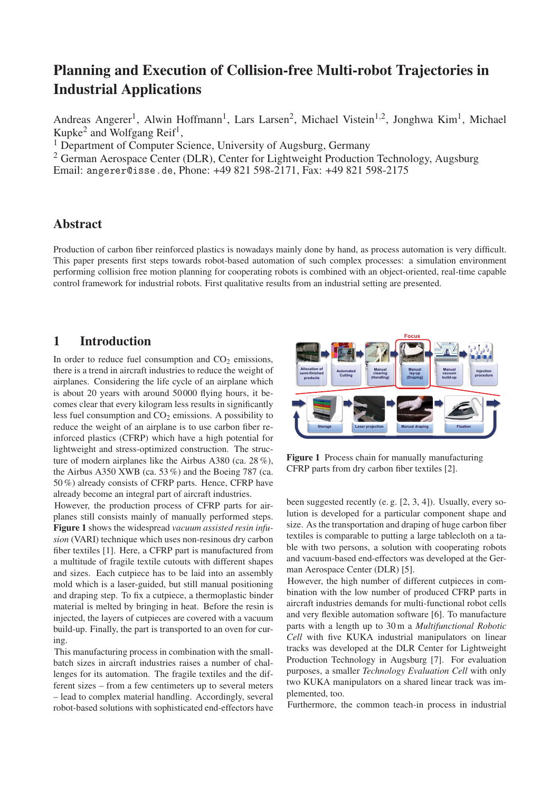# Planning and Execution of Collision-free Multi-robot Trajectories in Industrial Applications

Andreas Angerer<sup>1</sup>, Alwin Hoffmann<sup>1</sup>, Lars Larsen<sup>2</sup>, Michael Vistein<sup>1,2</sup>, Jonghwa Kim<sup>1</sup>, Michael Kupke<sup>2</sup> and Wolfgang Reif<sup>1</sup>,

<sup>1</sup> Department of Computer Science, University of Augsburg, Germany

<sup>2</sup> German Aerospace Center (DLR), Center for Lightweight Production Technology, Augsburg

Email: angerer@isse.de, Phone: +49 821 598-2171, Fax: +49 821 598-2175

#### Abstract

Production of carbon fiber reinforced plastics is nowadays mainly done by hand, as process automation is very difficult. This paper presents first steps towards robot-based automation of such complex processes: a simulation environment performing collision free motion planning for cooperating robots is combined with an object-oriented, real-time capable control framework for industrial robots. First qualitative results from an industrial setting are presented.

#### 1 Introduction

In order to reduce fuel consumption and  $CO<sub>2</sub>$  emissions, there is a trend in aircraft industries to reduce the weight of airplanes. Considering the life cycle of an airplane which is about 20 years with around 50000 flying hours, it becomes clear that every kilogram less results in significantly less fuel consumption and  $CO<sub>2</sub>$  emissions. A possibility to reduce the weight of an airplane is to use carbon fiber reinforced plastics (CFRP) which have a high potential for lightweight and stress-optimized construction. The structure of modern airplanes like the Airbus A380 (ca. 28 %), the Airbus A350 XWB (ca. 53 %) and the Boeing 787 (ca. 50 %) already consists of CFRP parts. Hence, CFRP have already become an integral part of aircraft industries.

However, the production process of CFRP parts for airplanes still consists mainly of manually performed steps. Figure 1 shows the widespread *vacuum assisted resin infusion* (VARI) technique which uses non-resinous dry carbon fiber textiles [1]. Here, a CFRP part is manufactured from a multitude of fragile textile cutouts with different shapes and sizes. Each cutpiece has to be laid into an assembly mold which is a laser-guided, but still manual positioning and draping step. To fix a cutpiece, a thermoplastic binder material is melted by bringing in heat. Before the resin is injected, the layers of cutpieces are covered with a vacuum build-up. Finally, the part is transported to an oven for curing.

This manufacturing process in combination with the smallbatch sizes in aircraft industries raises a number of challenges for its automation. The fragile textiles and the different sizes – from a few centimeters up to several meters – lead to complex material handling. Accordingly, several robot-based solutions with sophisticated end-effectors have



Figure 1 Process chain for manually manufacturing CFRP parts from dry carbon fiber textiles [2].

been suggested recently (e. g. [2, 3, 4]). Usually, every solution is developed for a particular component shape and size. As the transportation and draping of huge carbon fiber textiles is comparable to putting a large tablecloth on a table with two persons, a solution with cooperating robots and vacuum-based end-effectors was developed at the German Aerospace Center (DLR) [5].

However, the high number of different cutpieces in combination with the low number of produced CFRP parts in aircraft industries demands for multi-functional robot cells and very flexible automation software [6]. To manufacture parts with a length up to 30 m a *Multifunctional Robotic Cell* with five KUKA industrial manipulators on linear tracks was developed at the DLR Center for Lightweight Production Technology in Augsburg [7]. For evaluation purposes, a smaller *Technology Evaluation Cell* with only two KUKA manipulators on a shared linear track was implemented, too.

Furthermore, the common teach-in process in industrial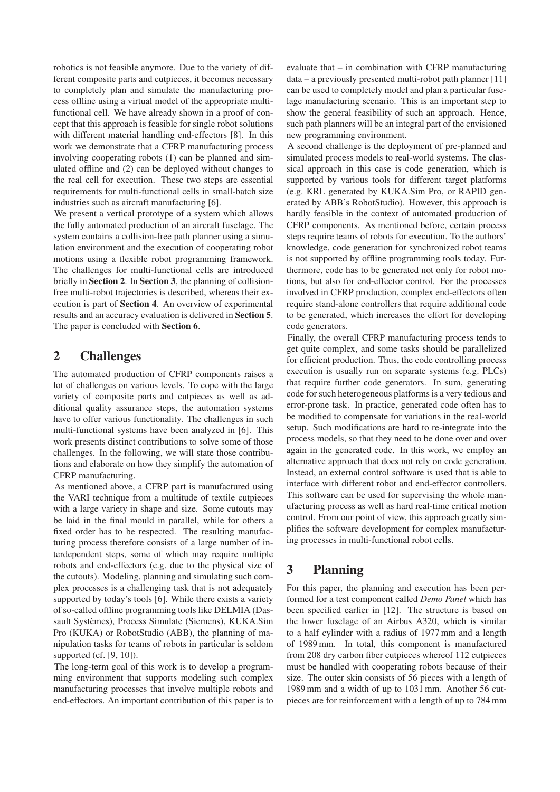robotics is not feasible anymore. Due to the variety of different composite parts and cutpieces, it becomes necessary to completely plan and simulate the manufacturing process offline using a virtual model of the appropriate multifunctional cell. We have already shown in a proof of concept that this approach is feasible for single robot solutions with different material handling end-effectors [8]. In this work we demonstrate that a CFRP manufacturing process involving cooperating robots (1) can be planned and simulated offline and (2) can be deployed without changes to the real cell for execution. These two steps are essential requirements for multi-functional cells in small-batch size industries such as aircraft manufacturing [6].

We present a vertical prototype of a system which allows the fully automated production of an aircraft fuselage. The system contains a collision-free path planner using a simulation environment and the execution of cooperating robot motions using a flexible robot programming framework. The challenges for multi-functional cells are introduced briefly in Section 2. In Section 3, the planning of collisionfree multi-robot trajectories is described, whereas their execution is part of Section 4. An overview of experimental results and an accuracy evaluation is delivered in Section 5. The paper is concluded with Section 6.

## 2 Challenges

The automated production of CFRP components raises a lot of challenges on various levels. To cope with the large variety of composite parts and cutpieces as well as additional quality assurance steps, the automation systems have to offer various functionality. The challenges in such multi-functional systems have been analyzed in [6]. This work presents distinct contributions to solve some of those challenges. In the following, we will state those contributions and elaborate on how they simplify the automation of CFRP manufacturing.

As mentioned above, a CFRP part is manufactured using the VARI technique from a multitude of textile cutpieces with a large variety in shape and size. Some cutouts may be laid in the final mould in parallel, while for others a fixed order has to be respected. The resulting manufacturing process therefore consists of a large number of interdependent steps, some of which may require multiple robots and end-effectors (e.g. due to the physical size of the cutouts). Modeling, planning and simulating such complex processes is a challenging task that is not adequately supported by today's tools [6]. While there exists a variety of so-called offline programming tools like DELMIA (Dassault Systèmes), Process Simulate (Siemens), KUKA.Sim Pro (KUKA) or RobotStudio (ABB), the planning of manipulation tasks for teams of robots in particular is seldom supported (cf. [9, 10]).

The long-term goal of this work is to develop a programming environment that supports modeling such complex manufacturing processes that involve multiple robots and end-effectors. An important contribution of this paper is to evaluate that – in combination with CFRP manufacturing data – a previously presented multi-robot path planner [11] can be used to completely model and plan a particular fuselage manufacturing scenario. This is an important step to show the general feasibility of such an approach. Hence, such path planners will be an integral part of the envisioned new programming environment.

A second challenge is the deployment of pre-planned and simulated process models to real-world systems. The classical approach in this case is code generation, which is supported by various tools for different target platforms (e.g. KRL generated by KUKA.Sim Pro, or RAPID generated by ABB's RobotStudio). However, this approach is hardly feasible in the context of automated production of CFRP components. As mentioned before, certain process steps require teams of robots for execution. To the authors' knowledge, code generation for synchronized robot teams is not supported by offline programming tools today. Furthermore, code has to be generated not only for robot motions, but also for end-effector control. For the processes involved in CFRP production, complex end-effectors often require stand-alone controllers that require additional code to be generated, which increases the effort for developing code generators.

Finally, the overall CFRP manufacturing process tends to get quite complex, and some tasks should be parallelized for efficient production. Thus, the code controlling process execution is usually run on separate systems (e.g. PLCs) that require further code generators. In sum, generating code for such heterogeneous platforms is a very tedious and error-prone task. In practice, generated code often has to be modified to compensate for variations in the real-world setup. Such modifications are hard to re-integrate into the process models, so that they need to be done over and over again in the generated code. In this work, we employ an alternative approach that does not rely on code generation. Instead, an external control software is used that is able to interface with different robot and end-effector controllers. This software can be used for supervising the whole manufacturing process as well as hard real-time critical motion control. From our point of view, this approach greatly simplifies the software development for complex manufacturing processes in multi-functional robot cells.

### 3 Planning

For this paper, the planning and execution has been performed for a test component called *Demo Panel* which has been specified earlier in [12]. The structure is based on the lower fuselage of an Airbus A320, which is similar to a half cylinder with a radius of 1977 mm and a length of 1989 mm. In total, this component is manufactured from 208 dry carbon fiber cutpieces whereof 112 cutpieces must be handled with cooperating robots because of their size. The outer skin consists of 56 pieces with a length of 1989 mm and a width of up to 1031 mm. Another 56 cutpieces are for reinforcement with a length of up to 784 mm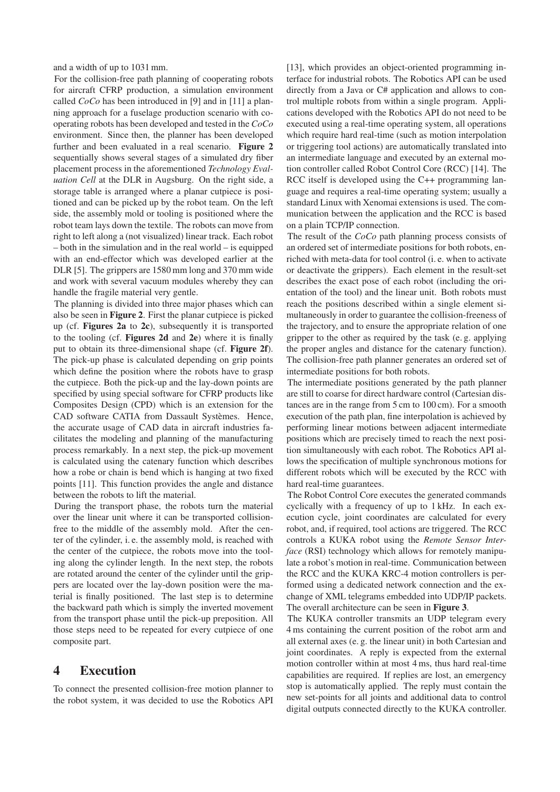and a width of up to 1031 mm.

For the collision-free path planning of cooperating robots for aircraft CFRP production, a simulation environment called *CoCo* has been introduced in [9] and in [11] a planning approach for a fuselage production scenario with cooperating robots has been developed and tested in the *CoCo* environment. Since then, the planner has been developed further and been evaluated in a real scenario. Figure 2 sequentially shows several stages of a simulated dry fiber placement process in the aforementioned *Technology Evaluation Cell* at the DLR in Augsburg. On the right side, a storage table is arranged where a planar cutpiece is positioned and can be picked up by the robot team. On the left side, the assembly mold or tooling is positioned where the robot team lays down the textile. The robots can move from right to left along a (not visualized) linear track. Each robot – both in the simulation and in the real world – is equipped with an end-effector which was developed earlier at the DLR [5]. The grippers are 1580 mm long and 370 mm wide and work with several vacuum modules whereby they can handle the fragile material very gentle.

The planning is divided into three major phases which can also be seen in Figure 2. First the planar cutpiece is picked up (cf. Figures 2a to 2c), subsequently it is transported to the tooling (cf. Figures 2d and 2e) where it is finally put to obtain its three-dimensional shape (cf. Figure 2f). The pick-up phase is calculated depending on grip points which define the position where the robots have to grasp the cutpiece. Both the pick-up and the lay-down points are specified by using special software for CFRP products like Composites Design (CPD) which is an extension for the CAD software CATIA from Dassault Systèmes. Hence, the accurate usage of CAD data in aircraft industries facilitates the modeling and planning of the manufacturing process remarkably. In a next step, the pick-up movement is calculated using the catenary function which describes how a robe or chain is bend which is hanging at two fixed points [11]. This function provides the angle and distance between the robots to lift the material.

During the transport phase, the robots turn the material over the linear unit where it can be transported collisionfree to the middle of the assembly mold. After the center of the cylinder, i. e. the assembly mold, is reached with the center of the cutpiece, the robots move into the tooling along the cylinder length. In the next step, the robots are rotated around the center of the cylinder until the grippers are located over the lay-down position were the material is finally positioned. The last step is to determine the backward path which is simply the inverted movement from the transport phase until the pick-up preposition. All those steps need to be repeated for every cutpiece of one composite part.

#### 4 Execution

To connect the presented collision-free motion planner to the robot system, it was decided to use the Robotics API [13], which provides an object-oriented programming interface for industrial robots. The Robotics API can be used directly from a Java or C# application and allows to control multiple robots from within a single program. Applications developed with the Robotics API do not need to be executed using a real-time operating system, all operations which require hard real-time (such as motion interpolation or triggering tool actions) are automatically translated into an intermediate language and executed by an external motion controller called Robot Control Core (RCC) [14]. The RCC itself is developed using the C++ programming language and requires a real-time operating system; usually a standard Linux with Xenomai extensions is used. The communication between the application and the RCC is based on a plain TCP/IP connection.

The result of the *CoCo* path planning process consists of an ordered set of intermediate positions for both robots, enriched with meta-data for tool control (i. e. when to activate or deactivate the grippers). Each element in the result-set describes the exact pose of each robot (including the orientation of the tool) and the linear unit. Both robots must reach the positions described within a single element simultaneously in order to guarantee the collision-freeness of the trajectory, and to ensure the appropriate relation of one gripper to the other as required by the task (e. g. applying the proper angles and distance for the catenary function). The collision-free path planner generates an ordered set of intermediate positions for both robots.

The intermediate positions generated by the path planner are still to coarse for direct hardware control (Cartesian distances are in the range from 5 cm to 100 cm). For a smooth execution of the path plan, fine interpolation is achieved by performing linear motions between adjacent intermediate positions which are precisely timed to reach the next position simultaneously with each robot. The Robotics API allows the specification of multiple synchronous motions for different robots which will be executed by the RCC with hard real-time guarantees.

The Robot Control Core executes the generated commands cyclically with a frequency of up to 1 kHz. In each execution cycle, joint coordinates are calculated for every robot, and, if required, tool actions are triggered. The RCC controls a KUKA robot using the *Remote Sensor Interface* (RSI) technology which allows for remotely manipulate a robot's motion in real-time. Communication between the RCC and the KUKA KRC-4 motion controllers is performed using a dedicated network connection and the exchange of XML telegrams embedded into UDP/IP packets. The overall architecture can be seen in Figure 3.

The KUKA controller transmits an UDP telegram every 4 ms containing the current position of the robot arm and all external axes (e. g. the linear unit) in both Cartesian and joint coordinates. A reply is expected from the external motion controller within at most 4 ms, thus hard real-time capabilities are required. If replies are lost, an emergency stop is automatically applied. The reply must contain the new set-points for all joints and additional data to control digital outputs connected directly to the KUKA controller.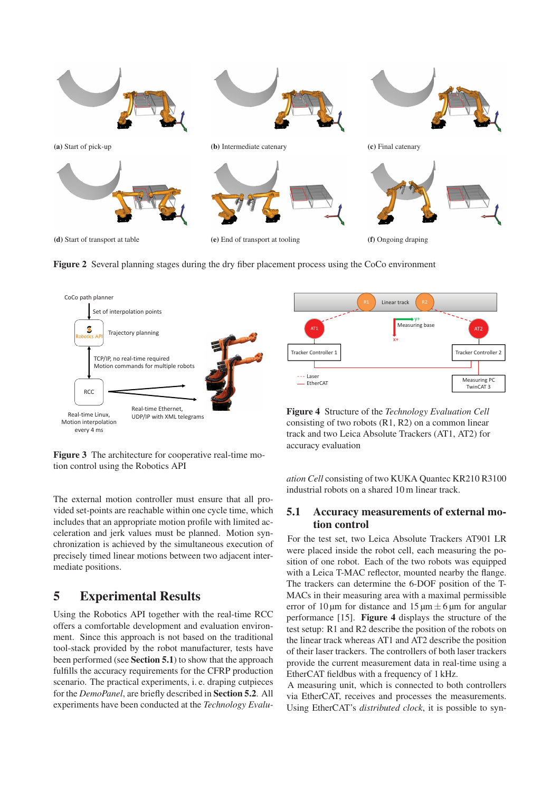

Figure 2 Several planning stages during the dry fiber placement process using the CoCo environment



Figure 3 The architecture for cooperative real-time motion control using the Robotics API

The external motion controller must ensure that all provided set-points are reachable within one cycle time, which includes that an appropriate motion profile with limited acceleration and jerk values must be planned. Motion synchronization is achieved by the simultaneous execution of precisely timed linear motions between two adjacent intermediate positions.

#### 5 Experimental Results

Using the Robotics API together with the real-time RCC offers a comfortable development and evaluation environment. Since this approach is not based on the traditional tool-stack provided by the robot manufacturer, tests have been performed (see Section 5.1) to show that the approach fulfills the accuracy requirements for the CFRP production scenario. The practical experiments, i. e. draping cutpieces for the *DemoPanel*, are briefly described in Section 5.2. All experiments have been conducted at the *Technology Evalu-*

track and two Leica Absolute Trackers (AT1, AT2) for accuracy evaluation

*ation Cell* consisting of two KUKA Quantec KR210 R3100 industrial robots on a shared 10 m linear track.

#### 5.1 Accuracy measurements of external motion control

For the test set, two Leica Absolute Trackers AT901 LR were placed inside the robot cell, each measuring the position of one robot. Each of the two robots was equipped with a Leica T-MAC reflector, mounted nearby the flange. The trackers can determine the 6-DOF position of the T-MACs in their measuring area with a maximal permissible error of 10 μm for distance and  $15 \mu m \pm 6 \mu m$  for angular performance [15]. Figure 4 displays the structure of the test setup: R1 and R2 describe the position of the robots on the linear track whereas AT1 and AT2 describe the position of their laser trackers. The controllers of both laser trackers provide the current measurement data in real-time using a EtherCAT fieldbus with a frequency of 1 kHz.

A measuring unit, which is connected to both controllers via EtherCAT, receives and processes the measurements. Using EtherCAT's *distributed clock*, it is possible to syn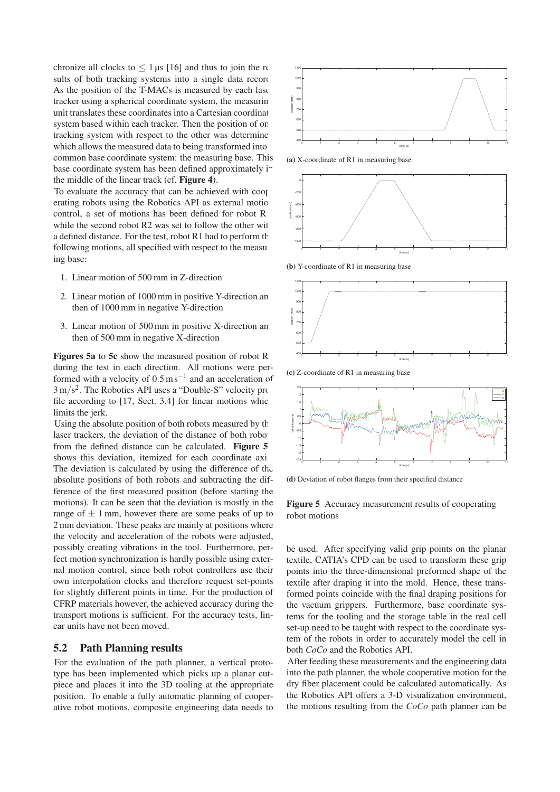chronize all clocks to  $\leq 1$  μs [16] and thus to join the results of both tracking systems into a single data record As the position of the T-MACs is measured by each lase tracker using a spherical coordinate system, the measurin unit translates these coordinates into a Cartesian coordinat system based within each tracker. Then the position of one tracking system with respect to the other was determine which allows the measured data to being transformed into common base coordinate system: the measuring base. This base coordinate system has been defined approximately i the middle of the linear track (cf. Figure 4).

To evaluate the accuracy that can be achieved with cooperating robots using the Robotics API as external motion control, a set of motions has been defined for robot R while the second robot R2 was set to follow the other with a defined distance. For the test, robot R1 had to perform the following motions, all specified with respect to the measuring base:

- 1. Linear motion of 500 mm in Z-direction
- 2. Linear motion of 1000 mm in positive Y-direction and then of 1000 mm in negative Y-direction
- 3. Linear motion of  $500 \text{ mm}$  in positive X-direction and then of 500 mm in negative X-direction

Figures 5a to 5 $c$  show the measured position of robot R during the test in each direction. All motions were performed with a velocity of  $0.5 \text{ m s}^{-1}$  and an acceleration of  $3 \text{ m/s}^2$ . The Robotics API uses a "Double-S" velocity profile according to  $[17,$  Sect. 3.4] for linear motions which limits the jerk.

Using the absolute position of both robots measured by the laser trackers, the deviation of the distance of both robo from the defined distance can be calculated. Figure 5 shows this deviation, itemized for each coordinate axi The deviation is calculated by using the difference of the absolute positions of both robots and subtracting the difference of the first measured position (before starting the motions). It can be seen that the deviation is mostly in the range of  $\pm$  1 mm, however there are some peaks of up to 2 mm deviation. These peaks are mainly at positions where the velocity and acceleration of the robots were adjusted, possibly creating vibrations in the tool. Furthermore, perfect motion synchronization is hardly possible using external motion control, since both robot controllers use their own interpolation clocks and therefore request set-points for slightly different points in time. For the production of CFRP materials however, the achieved accuracy during the transport motions is sufficient. For the accuracy tests, linear units have not been moved.

#### 5.2 Path Planning results

For the evaluation of the path planner, a vertical prototype has been implemented which picks up a planar cutpiece and places it into the 3D tooling at the appropriate position. To enable a fully automatic planning of cooperative robot motions, composite engineering data needs to



(a) X-coordinate of R1 in measuring base



(b) Y-coordinate of R1 in measuring base



(c) Z-coordinate of R1 in measuring base



(d) Deviation of robot flanges from their specified distance

Figure 5 Accuracy measurement results of cooperating robot motions

be used. After specifying valid grip points on the planar textile, CATIA's CPD can be used to transform these grip points into the three-dimensional preformed shape of the textile after draping it into the mold. Hence, these transformed points coincide with the final draping positions for the vacuum grippers. Furthermore, base coordinate systems for the tooling and the storage table in the real cell set-up need to be taught with respect to the coordinate system of the robots in order to accurately model the cell in both *CoCo* and the Robotics API.

After feeding these measurements and the engineering data into the path planner, the whole cooperative motion for the dry fiber placement could be calculated automatically. As the Robotics API offers a 3-D visualization environment, the motions resulting from the *CoCo* path planner can be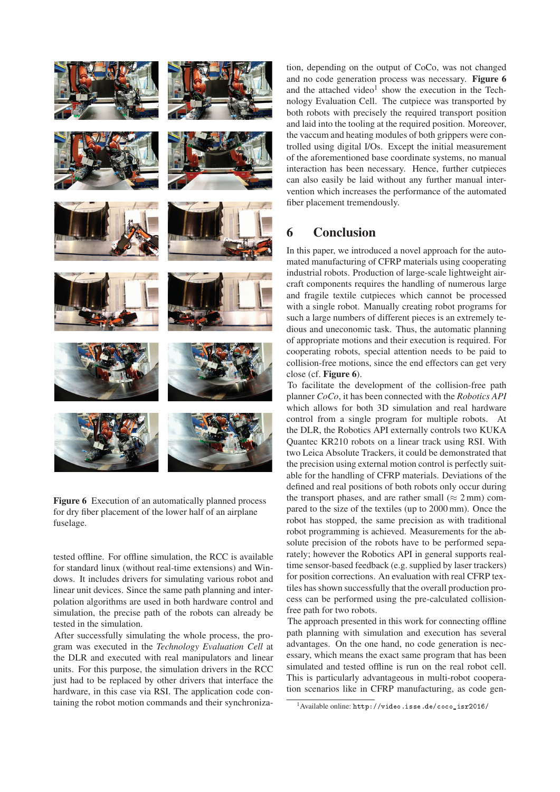

Figure 6 Execution of an automatically planned process for dry fiber placement of the lower half of an airplane fuselage.

tested offline. For offline simulation, the RCC is available for standard linux (without real-time extensions) and Windows. It includes drivers for simulating various robot and linear unit devices. Since the same path planning and interpolation algorithms are used in both hardware control and simulation, the precise path of the robots can already be tested in the simulation.

After successfully simulating the whole process, the program was executed in the *Technology Evaluation Cell* at the DLR and executed with real manipulators and linear units. For this purpose, the simulation drivers in the RCC just had to be replaced by other drivers that interface the hardware, in this case via RSI. The application code containing the robot motion commands and their synchronization, depending on the output of CoCo, was not changed and no code generation process was necessary. Figure 6 and the attached video<sup>1</sup> show the execution in the Technology Evaluation Cell. The cutpiece was transported by both robots with precisely the required transport position and laid into the tooling at the required position. Moreover, the vaccum and heating modules of both grippers were controlled using digital I/Os. Except the initial measurement of the aforementioned base coordinate systems, no manual interaction has been necessary. Hence, further cutpieces can also easily be laid without any further manual intervention which increases the performance of the automated fiber placement tremendously.

### 6 Conclusion

In this paper, we introduced a novel approach for the automated manufacturing of CFRP materials using cooperating industrial robots. Production of large-scale lightweight aircraft components requires the handling of numerous large and fragile textile cutpieces which cannot be processed with a single robot. Manually creating robot programs for such a large numbers of different pieces is an extremely tedious and uneconomic task. Thus, the automatic planning of appropriate motions and their execution is required. For cooperating robots, special attention needs to be paid to collision-free motions, since the end effectors can get very close (cf. Figure 6).

To facilitate the development of the collision-free path planner *CoCo*, it has been connected with the *Robotics API* which allows for both 3D simulation and real hardware control from a single program for multiple robots. At the DLR, the Robotics API externally controls two KUKA Quantec KR210 robots on a linear track using RSI. With two Leica Absolute Trackers, it could be demonstrated that the precision using external motion control is perfectly suitable for the handling of CFRP materials. Deviations of the defined and real positions of both robots only occur during the transport phases, and are rather small ( $\approx$  2 mm) compared to the size of the textiles (up to 2000 mm). Once the robot has stopped, the same precision as with traditional robot programming is achieved. Measurements for the absolute precision of the robots have to be performed separately; however the Robotics API in general supports realtime sensor-based feedback (e.g. supplied by laser trackers) for position corrections. An evaluation with real CFRP textiles hasshown successfully that the overall production process can be performed using the pre-calculated collisionfree path for two robots.

The approach presented in this work for connecting offline path planning with simulation and execution has several advantages. On the one hand, no code generation is necessary, which means the exact same program that has been simulated and tested offline is run on the real robot cell. This is particularly advantageous in multi-robot cooperation scenarios like in CFRP manufacturing, as code gen-

 $1$ Available online: http://video.isse.de/coco\_isr2016/